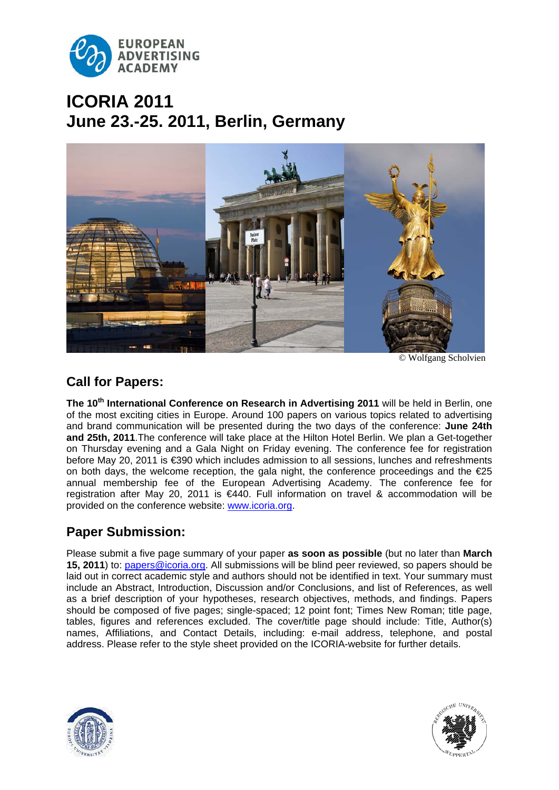

# **ICORIA 2011 June 23.-25. 2011, Berlin, Germany**



© Wolfgang Scholvien

# **Call for Papers:**

The 10<sup>th</sup> International Conference on Research in Advertising 2011 will be held in Berlin, one of the most exciting cities in Europe. Around 100 papers on various topics related to advertising and brand communication will be presented during the two days of the conference: **June 24th and 25th, 2011**.The conference will take place at the Hilton Hotel Berlin. We plan a Get-together on Thursday evening and a Gala Night on Friday evening. The conference fee for registration before May 20, 2011 is €390 which includes admission to all sessions, lunches and refreshments on both days, the welcome reception, the gala night, the conference proceedings and the  $E$ 25 annual membership fee of the European Advertising Academy. The conference fee for registration after May 20, 2011 is €440. Full information on travel & accommodation will be provided on the conference website: [www.icoria.org](http://www.icoria.org/).

## **Paper Submission:**

Please submit a five page summary of your paper **as soon as possible** (but no later than **March 15, 2011**) to: papers@icoria.org. All submissions will be blind peer reviewed, so papers should be laid out in correct academic style and authors should not be identified in text. Your summary must include an Abstract, Introduction, Discussion and/or Conclusions, and list of References, as well as a brief description of your hypotheses, research objectives, methods, and findings. Papers should be composed of five pages; single-spaced; 12 point font; Times New Roman; title page, tables, figures and references excluded. The cover/title page should include: Title, Author(s) names, Affiliations, and Contact Details, including: e-mail address, telephone, and postal address. Please refer to the style sheet provided on the ICORIA-website for further details.